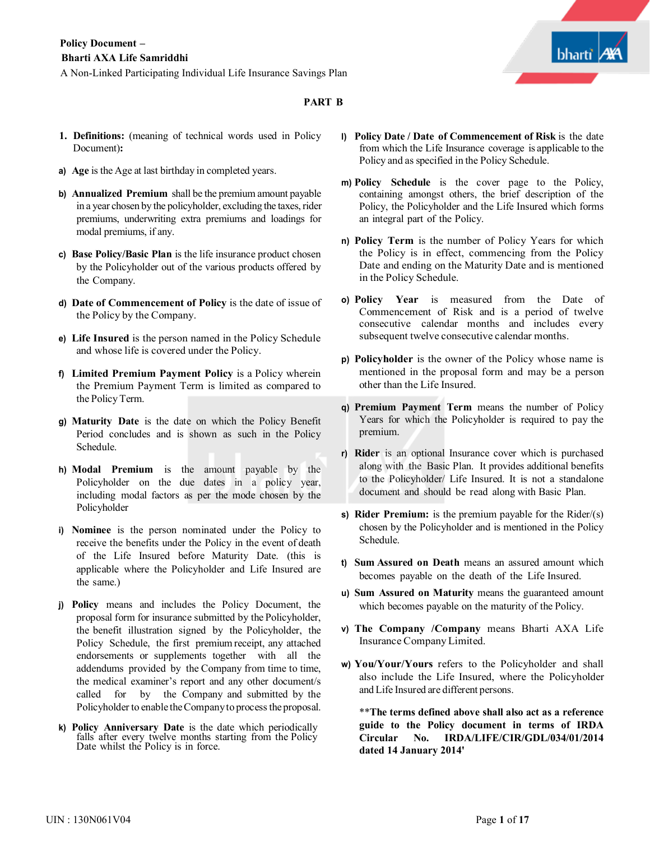

## **PART B**

- **1. Definitions:** (meaning of technical words used in Policy Document)**:**
- **a) Age** is the Age at last birthday in completed years.
- **b) Annualized Premium** shall be the premium amount payable in a year chosen by the policyholder, excluding the taxes, rider premiums, underwriting extra premiums and loadings for modal premiums, if any.
- **c) Base Policy/Basic Plan** is the life insurance product chosen by the Policyholder out of the various products offered by the Company.
- **d) Date of Commencement of Policy** is the date of issue of the Policy by the Company.
- **e) Life Insured** is the person named in the Policy Schedule and whose life is covered under the Policy.
- **f) Limited Premium Payment Policy** is a Policy wherein the Premium Payment Term is limited as compared to the Policy Term.
- **g) Maturity Date** is the date on which the Policy Benefit Period concludes and is shown as such in the Policy Schedule.
- **h) Modal Premium** is the amount payable by the Policyholder on the due dates in a policy year, including modal factors as per the mode chosen by the Policyholder
- **i) Nominee** is the person nominated under the Policy to receive the benefits under the Policy in the event of death of the Life Insured before Maturity Date. (this is applicable where the Policyholder and Life Insured are the same.)
- **j) Policy** means and includes the Policy Document, the proposal form for insurance submitted by the Policyholder, the benefit illustration signed by the Policyholder, the Policy Schedule, the first premium receipt, any attached endorsements or supplements together with all the addendums provided by the Company from time to time, the medical examiner's report and any other document/s called for by the Company and submitted by the Policyholder to enable the Company to process the proposal.
- **k) Policy Anniversary Date** is the date which periodically falls after every twelve months starting from the Policy Date whilst the Policy is in force.
- **l) Policy Date / Date of Commencement of Risk** is the date from which the Life Insurance coverage is applicable to the Policy and as specified in the Policy Schedule.
- **m) Policy Schedule** is the cover page to the Policy, containing amongst others, the brief description of the Policy, the Policyholder and the Life Insured which forms an integral part of the Policy.
- **n) Policy Term** is the number of Policy Years for which the Policy is in effect, commencing from the Policy Date and ending on the Maturity Date and is mentioned in the Policy Schedule.
- **o) Policy Year** is measured from the Date of Commencement of Risk and is a period of twelve consecutive calendar months and includes every subsequent twelve consecutive calendar months.
- **p) Policyholder** is the owner of the Policy whose name is mentioned in the proposal form and may be a person other than the Life Insured.
- **q) Premium Payment Term** means the number of Policy Years for which the Policyholder is required to pay the premium.
- **r) Rider** is an optional Insurance cover which is purchased along with the Basic Plan. It provides additional benefits to the Policyholder/ Life Insured. It is not a standalone document and should be read along with Basic Plan.
- **s) Rider Premium:** is the premium payable for the Rider/(s) chosen by the Policyholder and is mentioned in the Policy Schedule.
- **t) Sum Assured on Death** means an assured amount which becomes payable on the death of the Life Insured.
- **u) Sum Assured on Maturity** means the guaranteed amount which becomes payable on the maturity of the Policy.
- **v) The Company /Company** means Bharti AXA Life Insurance Company Limited.
- **w) You/Your/Yours** refers to the Policyholder and shall also include the Life Insured, where the Policyholder and Life Insured are different persons.

\*\***The terms defined above shall also act as a reference guide to the Policy document in terms of IRDA Circular No. IRDA/LIFE/CIR/GDL/034/01/2014 dated 14 January 2014'**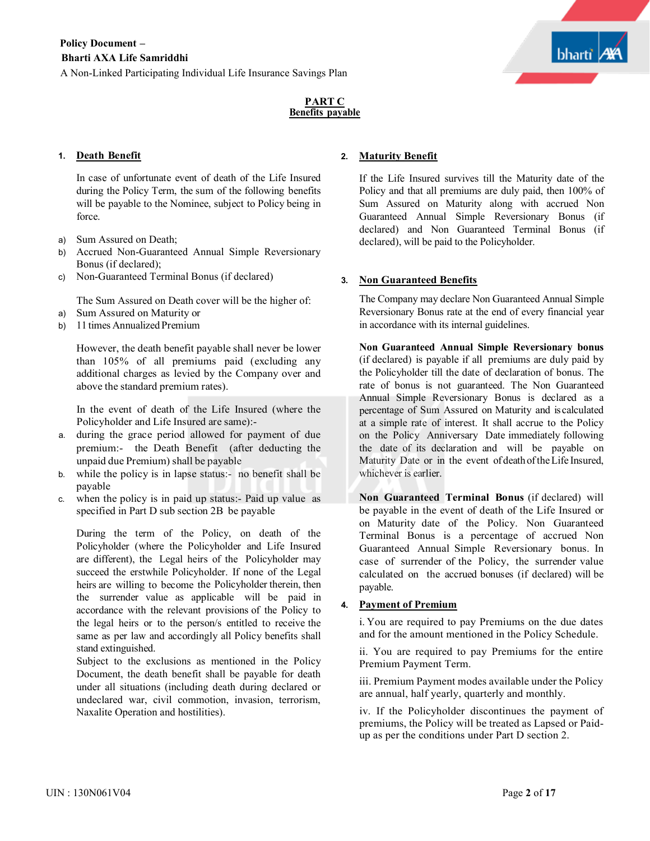

## **PART C Benefits payable**

## **1. Death Benefit**

In case of unfortunate event of death of the Life Insured during the Policy Term, the sum of the following benefits will be payable to the Nominee, subject to Policy being in force.

- a) Sum Assured on Death;
- b) Accrued Non-Guaranteed Annual Simple Reversionary Bonus (if declared);
- c) Non-Guaranteed Terminal Bonus (if declared)

The Sum Assured on Death cover will be the higher of:

- a) Sum Assured on Maturity or
- b) 11 times Annualized Premium

However, the death benefit payable shall never be lower than 105% of all premiums paid (excluding any additional charges as levied by the Company over and above the standard premium rates).

In the event of death of the Life Insured (where the Policyholder and Life Insured are same):-

- a. during the grace period allowed for payment of due premium:- the Death Benefit (after deducting the unpaid due Premium) shall be payable
- b. while the policy is in lapse status:- no benefit shall be payable
- c. when the policy is in paid up status:- Paid up value as specified in Part D sub section 2B be payable

During the term of the Policy, on death of the Policyholder (where the Policyholder and Life Insured are different), the Legal heirs of the Policyholder may succeed the erstwhile Policyholder. If none of the Legal heirs are willing to become the Policyholder therein, then the surrender value as applicable will be paid in accordance with the relevant provisions of the Policy to the legal heirs or to the person/s entitled to receive the same as per law and accordingly all Policy benefits shall stand extinguished.

Subject to the exclusions as mentioned in the Policy Document, the death benefit shall be payable for death under all situations (including death during declared or undeclared war, civil commotion, invasion, terrorism, Naxalite Operation and hostilities).

## **2. Maturity Benefit**

If the Life Insured survives till the Maturity date of the Policy and that all premiums are duly paid, then 100% of Sum Assured on Maturity along with accrued Non Guaranteed Annual Simple Reversionary Bonus (if declared) and Non Guaranteed Terminal Bonus (if declared), will be paid to the Policyholder.

## **3. Non Guaranteed Benefits**

The Company may declare Non Guaranteed Annual Simple Reversionary Bonus rate at the end of every financial year in accordance with its internal guidelines.

**Non Guaranteed Annual Simple Reversionary bonus** (if declared) is payable if all premiums are duly paid by the Policyholder till the date of declaration of bonus. The rate of bonus is not guaranteed. The Non Guaranteed Annual Simple Reversionary Bonus is declared as a percentage of Sum Assured on Maturity and is calculated at a simple rate of interest. It shall accrue to the Policy on the Policy Anniversary Date immediately following the date of its declaration and will be payable on Maturity Date or in the event of death of the Life Insured, whichever is earlier.

**Non Guaranteed Terminal Bonus** (if declared) will be payable in the event of death of the Life Insured or on Maturity date of the Policy. Non Guaranteed Terminal Bonus is a percentage of accrued Non Guaranteed Annual Simple Reversionary bonus. In case of surrender of the Policy, the surrender value calculated on the accrued bonuses (if declared) will be payable.

## **4. Payment of Premium**

i. You are required to pay Premiums on the due dates and for the amount mentioned in the Policy Schedule.

ii. You are required to pay Premiums for the entire Premium Payment Term.

iii. Premium Payment modes available under the Policy are annual, half yearly, quarterly and monthly.

iv. If the Policyholder discontinues the payment of premiums, the Policy will be treated as Lapsed or Paidup as per the conditions under Part D section 2.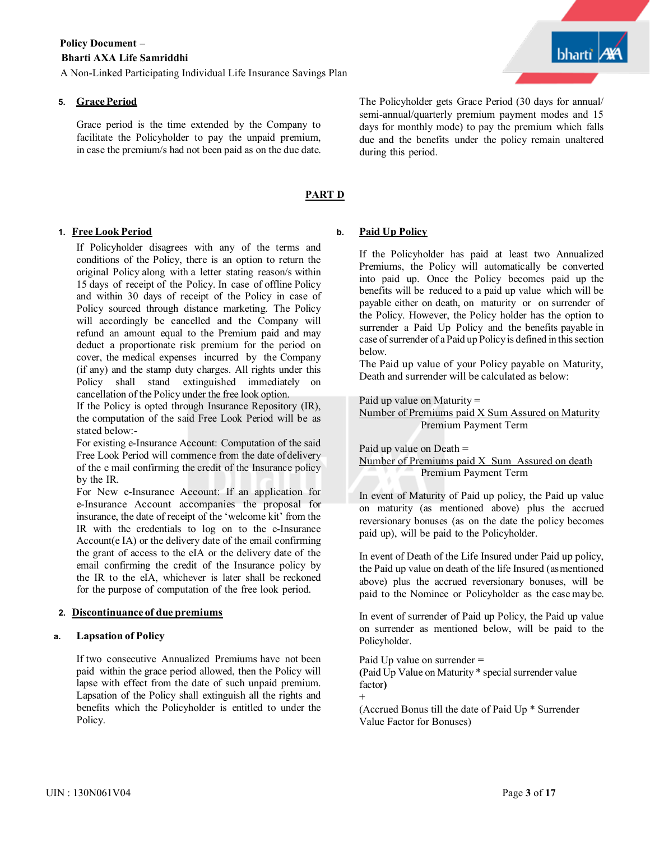A Non-Linked Participating Individual Life Insurance Savings Plan

## **5. GracePeriod**

Grace period is the time extended by the Company to facilitate the Policyholder to pay the unpaid premium, in case the premium/s had not been paid as on the due date.

## **PART D**

## **1. Free Look Period**

If Policyholder disagrees with any of the terms and conditions of the Policy, there is an option to return the original Policy along with a letter stating reason/s within 15 days of receipt of the Policy. In case of offline Policy and within 30 days of receipt of the Policy in case of Policy sourced through distance marketing. The Policy will accordingly be cancelled and the Company will refund an amount equal to the Premium paid and may deduct a proportionate risk premium for the period on cover, the medical expenses incurred by the Company (if any) and the stamp duty charges. All rights under this Policy shall stand extinguished immediately on cancellation of the Policy under the free look option.

If the Policy is opted through Insurance Repository (IR), the computation of the said Free Look Period will be as stated below:-

For existing e-Insurance Account: Computation of the said Free Look Period will commence from the date of delivery of the e mail confirming the credit of the Insurance policy by the IR.

For New e-Insurance Account: If an application for e-Insurance Account accompanies the proposal for insurance, the date of receipt of the 'welcome kit' from the IR with the credentials to log on to the e-Insurance Account(e IA) or the delivery date of the email confirming the grant of access to the eIA or the delivery date of the email confirming the credit of the Insurance policy by the IR to the eIA, whichever is later shall be reckoned for the purpose of computation of the free look period.

## **2. Discontinuance of due premiums**

## **a. Lapsation of Policy**

If two consecutive Annualized Premiums have not been paid within the grace period allowed, then the Policy will lapse with effect from the date of such unpaid premium. Lapsation of the Policy shall extinguish all the rights and benefits which the Policyholder is entitled to under the Policy.

## **b. Paid Up Policy**

during this period.

If the Policyholder has paid at least two Annualized Premiums, the Policy will automatically be converted into paid up. Once the Policy becomes paid up the benefits will be reduced to a paid up value which will be payable either on death, on maturity or on surrender of the Policy. However, the Policy holder has the option to surrender a Paid Up Policy and the benefits payable in case of surrender of a Paid up Policy is defined in this section below.

The Policyholder gets Grace Period (30 days for annual/ semi-annual/quarterly premium payment modes and 15 days for monthly mode) to pay the premium which falls due and the benefits under the policy remain unaltered

The Paid up value of your Policy payable on Maturity, Death and surrender will be calculated as below:

Paid up value on Maturity  $=$ 

Number of Premiums paid X Sum Assured on Maturity Premium Payment Term

Paid up value on Death = Number of Premiums paid X Sum Assured on death Premium Payment Term

In event of Maturity of Paid up policy, the Paid up value on maturity (as mentioned above) plus the accrued reversionary bonuses (as on the date the policy becomes paid up), will be paid to the Policyholder.

In event of Death of the Life Insured under Paid up policy, the Paid up value on death of the life Insured (asmentioned above) plus the accrued reversionary bonuses, will be paid to the Nominee or Policyholder as the case may be.

In event of surrender of Paid up Policy, the Paid up value on surrender as mentioned below, will be paid to the Policyholder.

Paid Up value on surrender **=** (Paid Up Value on Maturity  $*$  special surrender value factor**)**

(Accrued Bonus till the date of Paid Up \* Surrender Value Factor for Bonuses)

+

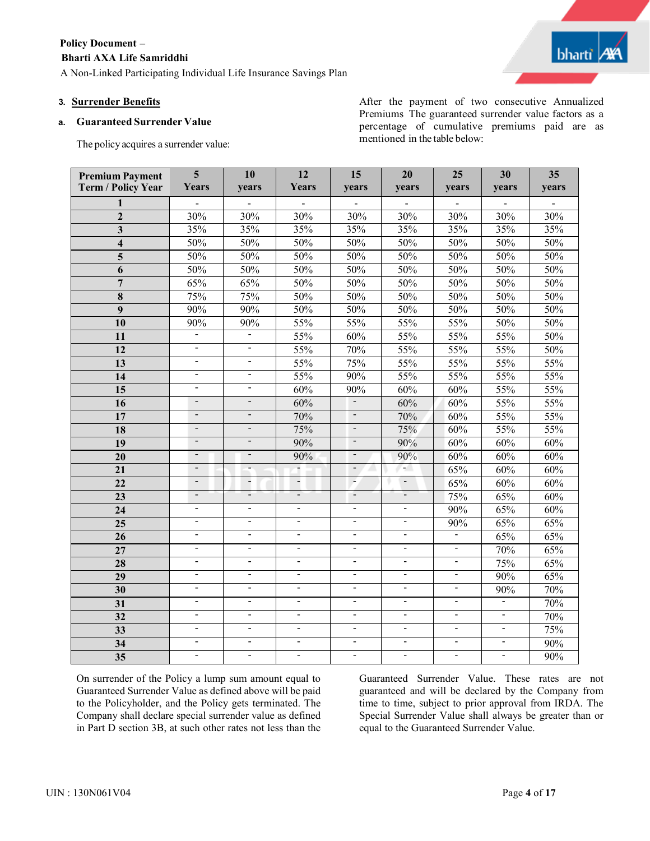# **Policy Document –**

## **Bharti AXA Life Samriddhi**

A Non-Linked Participating Individual Life Insurance Savings Plan

## **3. Surrender Benefits**

## **a. Guaranteed Surrender Value**

The policy acquires a surrender value:

After the payment of two consecutive Annualized Premiums The guaranteed surrender value factors as a percentage of cumulative premiums paid are as mentioned in the table below:

| <b>Premium Payment</b><br>Term / Policy Year | $\overline{\mathbf{5}}$<br>Years                     | 10<br>years                                | 12<br>Years                      | 15<br>years                                | 20<br>years                                | 25<br>years                      | 30<br>years                      | 35<br>years |
|----------------------------------------------|------------------------------------------------------|--------------------------------------------|----------------------------------|--------------------------------------------|--------------------------------------------|----------------------------------|----------------------------------|-------------|
| 1                                            |                                                      |                                            |                                  |                                            |                                            |                                  |                                  |             |
| $\overline{2}$                               | 30%                                                  | 30%                                        | 30%                              | 30%                                        | 30%                                        | 30%                              | 30%                              | 30%         |
| $\overline{\mathbf{3}}$                      | 35%                                                  | 35%                                        | 35%                              | 35%                                        | 35%                                        | 35%                              | 35%                              | 35%         |
| $\overline{\mathbf{4}}$                      | 50%                                                  | 50%                                        | 50%                              | 50%                                        | 50%                                        | 50%                              | 50%                              | 50%         |
| 5                                            | 50%                                                  | 50%                                        | 50%                              | 50%                                        | 50%                                        | 50%                              | 50%                              | 50%         |
| 6                                            | 50%                                                  | 50%                                        | 50%                              | 50%                                        | 50%                                        | 50%                              | 50%                              | 50%         |
| $\overline{7}$                               | 65%                                                  | 65%                                        | 50%                              | 50%                                        | 50%                                        | 50%                              | 50%                              | 50%         |
| 8                                            | 75%                                                  | 75%                                        | 50%                              | 50%                                        | 50%                                        | 50%                              | 50%                              | 50%         |
| $\boldsymbol{q}$                             | 90%                                                  | 90%                                        | 50%                              | 50%                                        | 50%                                        | 50%                              | 50%                              | 50%         |
| 10                                           | 90%                                                  | 90%                                        | 55%                              | 55%                                        | 55%                                        | 55%                              | 50%                              | 50%         |
| 11                                           | $\overline{\phantom{a}}$                             | $\sim$                                     | 55%                              | 60%                                        | 55%                                        | 55%                              | 55%                              | 50%         |
| 12                                           | $\frac{1}{2}$                                        | $\blacksquare$                             | 55%                              | 70%                                        | 55%                                        | 55%                              | 55%                              | 50%         |
| 13                                           | $\blacksquare$                                       | $\blacksquare$                             | 55%                              | 75%                                        | 55%                                        | 55%                              | 55%                              | 55%         |
| 14                                           | $\overline{\phantom{0}}$                             | $\overline{\phantom{0}}$                   | 55%                              | 90%                                        | 55%                                        | 55%                              | 55%                              | 55%         |
| $\overline{15}$                              | ÷                                                    | $\blacksquare$                             | 60%                              | 90%                                        | 60%                                        | 60%                              | 55%                              | 55%         |
| 16                                           | $\overline{\phantom{a}}$                             | $\frac{1}{2}$                              | 60%                              | $\blacksquare$                             | 60%                                        | 60%                              | 55%                              | 55%         |
| $\overline{17}$                              | $\frac{1}{2}$                                        | $\blacksquare$                             | 70%                              | $\blacksquare$                             | 70%                                        | 60%                              | 55%                              | 55%         |
| 18                                           | $\overline{\phantom{a}}$                             | $\overline{\phantom{a}}$                   | 75%                              | $\blacksquare$                             | 75%                                        | 60%                              | 55%                              | 55%         |
| 19                                           | $\blacksquare$                                       | $\blacksquare$                             | 90%                              | $\blacksquare$                             | 90%                                        | 60%                              | 60%                              | 60%         |
| $\overline{20}$                              | $\overline{\phantom{0}}$                             | $\overline{\phantom{0}}$                   | 90%                              | $\overline{\phantom{a}}$                   | 90%                                        | 60%                              | 60%                              | 60%         |
| 21                                           | $\overline{\phantom{a}}$                             | ÷.                                         |                                  | $\blacksquare$                             | н.                                         | 65%                              | 60%                              | 60%         |
| $\overline{22}$                              | $\overline{\phantom{a}}$                             | $\overline{\phantom{a}}$                   | $\overline{\phantom{a}}$         | $\overline{\phantom{a}}$                   | $\overline{\phantom{a}}$                   | 65%                              | 60%                              | 60%         |
| 23                                           | $\blacksquare$                                       | ÷                                          | $\overline{a}$                   | ÷                                          | $\blacksquare$                             | 75%                              | 65%                              | 60%         |
| $\overline{24}$                              | $\overline{\phantom{0}}$                             | $\overline{a}$                             | $\overline{\phantom{a}}$         | $\blacksquare$                             | $\overline{\phantom{a}}$                   | 90%                              | 65%                              | 60%         |
| 25                                           | Ξ.                                                   | ÷                                          | $\blacksquare$                   | $\blacksquare$                             | $\overline{\phantom{a}}$                   | 90%                              | 65%                              | 65%         |
| $\overline{26}$                              | $\overline{\phantom{0}}$                             | $\overline{a}$                             | $\overline{\phantom{a}}$         | $\blacksquare$                             | $\overline{\phantom{a}}$                   | Ξ                                | 65%                              | 65%         |
| 27                                           | $\qquad \qquad \blacksquare$                         | $\frac{1}{2}$                              | $\overline{\phantom{a}}$         | $\overline{a}$                             | $\overline{\phantom{a}}$                   | $\blacksquare$                   | 70%                              | 65%         |
| 28                                           | $\overline{\phantom{a}}$                             | $\overline{a}$                             | $\overline{\phantom{a}}$         | $\blacksquare$                             | $\blacksquare$                             | $\blacksquare$                   | 75%                              | 65%         |
| 29                                           | $\overline{\phantom{0}}$                             | $\overline{\phantom{0}}$                   | $\overline{\phantom{a}}$         | $\mathbf{r}$                               | $\overline{\phantom{a}}$                   | $\blacksquare$                   | 90%                              | 65%         |
| $\overline{30}$                              | $\overline{\phantom{a}}$<br>$\overline{\phantom{0}}$ | $\overline{a}$<br>$\overline{\phantom{0}}$ | $\blacksquare$<br>$\blacksquare$ | $\blacksquare$<br>$\overline{\phantom{a}}$ | $\blacksquare$<br>$\overline{\phantom{a}}$ | $\blacksquare$<br>$\blacksquare$ | 90%<br>$\blacksquare$            | 70%         |
| 31                                           |                                                      |                                            |                                  |                                            |                                            |                                  |                                  | 70%         |
| $\overline{32}$                              | $\frac{1}{2}$                                        | $\blacksquare$<br>$\blacksquare$           | $\blacksquare$                   | $\blacksquare$<br>$\blacksquare$           | $\blacksquare$<br>$\blacksquare$           | $\sim$                           | $\blacksquare$<br>$\blacksquare$ | 70%         |
| 33                                           | $\blacksquare$                                       |                                            | $\blacksquare$<br>$\blacksquare$ |                                            |                                            | $\blacksquare$                   |                                  | 75%         |
| 34                                           | $\overline{\phantom{a}}$                             | $\blacksquare$                             |                                  | $\blacksquare$                             | $\blacksquare$                             | $\sim$                           | $\blacksquare$                   | 90%         |
| 35                                           | $\blacksquare$                                       | $\overline{a}$                             | $\blacksquare$                   | $\blacksquare$                             |                                            | $\blacksquare$                   | $\blacksquare$                   | 90%         |

On surrender of the Policy a lump sum amount equal to Guaranteed Surrender Value as defined above will be paid to the Policyholder, and the Policy gets terminated. The Company shall declare special surrender value as defined in Part D section 3B, at such other rates not less than the

Guaranteed Surrender Value. These rates are not guaranteed and will be declared by the Company from time to time, subject to prior approval from IRDA. The Special Surrender Value shall always be greater than or equal to the Guaranteed Surrender Value.

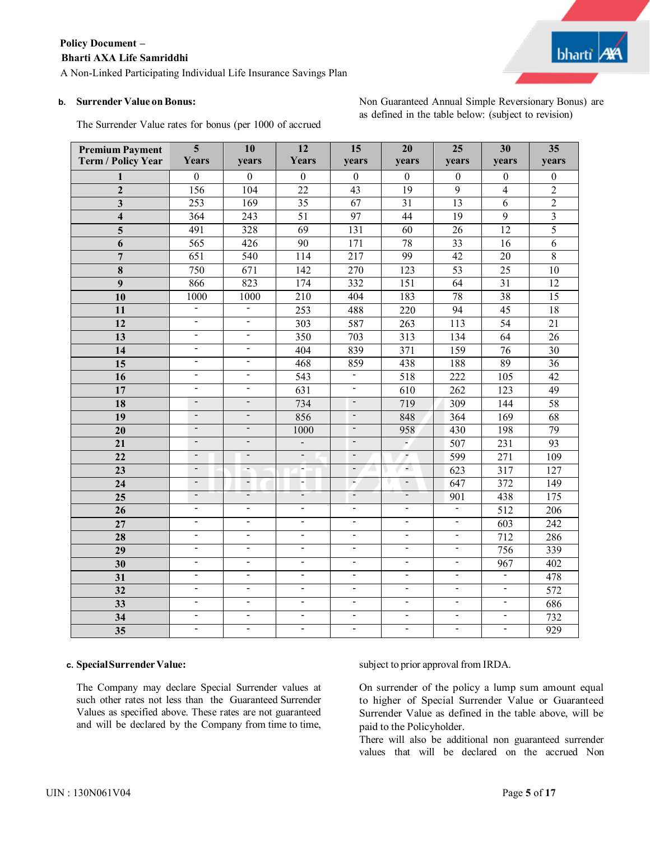A Non-Linked Participating Individual Life Insurance Savings Plan

#### **b.** Surrender Value on Bonus:

Non Guaranteed Annual Simple Reversionary Bonus) are as defined in the table below: (subject to revision)

| <b>Premium Payment</b><br><b>Term / Policy Year</b> | $\overline{\mathbf{5}}$<br>Years | 10<br>years              | 12<br><b>Years</b>       | 15<br>years              | 20<br>years                  | 25<br><b>vears</b>       | 30<br>years      | $\overline{35}$<br>years |
|-----------------------------------------------------|----------------------------------|--------------------------|--------------------------|--------------------------|------------------------------|--------------------------|------------------|--------------------------|
| 1                                                   | $\overline{0}$                   | $\overline{0}$           | $\mathbf{0}$             | $\mathbf{0}$             | $\mathbf{0}$                 | $\mathbf{0}$             | $\mathbf{0}$     | $\boldsymbol{0}$         |
| $\overline{2}$                                      | 156                              | 104                      | 22                       | 43                       | 19                           | $\overline{9}$           | $\overline{4}$   | $\overline{2}$           |
| $\overline{\mathbf{3}}$                             | 253                              | 169                      | $\overline{35}$          | 67                       | 31                           | 13                       | $\overline{6}$   | $\overline{2}$           |
| $\overline{\mathbf{4}}$                             | 364                              | 243                      | 51                       | 97                       | 44                           | $\overline{19}$          | $\overline{9}$   | $\overline{3}$           |
| 5                                                   | 491                              | 328                      | 69                       | 131                      | 60                           | 26                       | 12               | $\overline{5}$           |
| 6                                                   | 565                              | 426                      | 90                       | 171                      | 78                           | 33                       | 16               | 6                        |
| $\overline{7}$                                      | 651                              | 540                      | 114                      | $\overline{217}$         | 99                           | $\overline{42}$          | 20               | $\overline{8}$           |
| 8                                                   | 750                              | 671                      | 142                      | 270                      | 123                          | $\overline{53}$          | 25               | 10                       |
| 9                                                   | 866                              | 823                      | 174                      | 332                      | $\overline{151}$             | $\overline{64}$          | $\overline{31}$  | $\overline{12}$          |
| 10                                                  | 1000                             | 1000                     | 210                      | 404                      | 183                          | $\overline{78}$          | 38               | $\overline{15}$          |
| 11                                                  | $\overline{\phantom{0}}$         | $\blacksquare$           | $\overline{253}$         | 488                      | 220                          | $\overline{94}$          | 45               | 18                       |
| 12                                                  | $\overline{\phantom{a}}$         | $\overline{\phantom{a}}$ | 303                      | 587                      | 263                          | $\overline{113}$         | 54               | 21                       |
| $\overline{13}$                                     | $\overline{\phantom{a}}$         | $\blacksquare$           | 350                      | 703                      | $\overline{313}$             | 134                      | 64               | $\overline{26}$          |
| 14                                                  | $\blacksquare$                   | $\overline{\phantom{a}}$ | 404                      | 839                      | 371                          | 159                      | 76               | $\overline{30}$          |
| 15                                                  | $\blacksquare$                   | $\blacksquare$           | 468                      | 859                      | 438                          | 188                      | 89               | 36                       |
| 16                                                  | $\overline{\phantom{a}}$         | $\blacksquare$           | 543                      | $\overline{\phantom{0}}$ | 518                          | 222                      | $\overline{105}$ | 42                       |
| 17                                                  | $\overline{a}$                   | $\blacksquare$           | $\overline{631}$         | $\blacksquare$           | 610                          | $\overline{262}$         | 123              | $\overline{49}$          |
| 18                                                  | $\frac{1}{2}$                    | $\blacksquare$           | 734                      | $\blacksquare$           | 719                          | 309                      | 144              | $\overline{58}$          |
| 19                                                  | $\overline{\phantom{a}}$         | $\blacksquare$           | 856                      | $\overline{\phantom{a}}$ | 848                          | 364                      | 169              | 68                       |
| 20                                                  | $\overline{\phantom{a}}$         | $\overline{\phantom{a}}$ | 1000                     | $\overline{\phantom{a}}$ | 958                          | 430                      | 198              | 79                       |
| 21                                                  | $\overline{\phantom{a}}$         | $\overline{\phantom{a}}$ | ÷.                       | $\blacksquare$           | $\omega$                     | 507                      | 231              | $\overline{93}$          |
| 22                                                  | $\overline{\phantom{a}}$         | $\blacksquare$           | $\blacksquare$           | $\blacksquare$           | $\overline{\phantom{a}}$     | 599                      | $\overline{271}$ | 109                      |
| 23                                                  | $\overline{\phantom{a}}$         | $\overline{\phantom{a}}$ | н.                       | $\overline{a}$           | $\overline{a}$               | $\overline{623}$         | $\overline{317}$ | $\overline{127}$         |
| 24                                                  | $\overline{\phantom{a}}$         | $\overline{\phantom{a}}$ | $\overline{\phantom{a}}$ | $\overline{\phantom{a}}$ | $\overline{\phantom{a}}$     | 647                      | 372              | $\overline{149}$         |
| 25                                                  | $\qquad \qquad \blacksquare$     | $\overline{\phantom{a}}$ | $\overline{\phantom{a}}$ | $\blacksquare$           | $\overline{\phantom{0}}$     | 901                      | 438              | 175                      |
| $\overline{26}$                                     | $\overline{\phantom{a}}$         | $\overline{\phantom{a}}$ | $\blacksquare$           | $\overline{\phantom{a}}$ | $\blacksquare$               | $\blacksquare$           | 512              | 206                      |
| 27                                                  | $\overline{\phantom{a}}$         | $\overline{\phantom{a}}$ | $\sim$                   | $\overline{\phantom{a}}$ | $\overline{\phantom{0}}$     | $\blacksquare$           | $\overline{603}$ | 242                      |
| 28                                                  | $\overline{\phantom{a}}$         | $\overline{\phantom{a}}$ | $\blacksquare$           | $\blacksquare$           | $\overline{\phantom{0}}$     | $\blacksquare$           | 712              | 286                      |
| 29                                                  | $\overline{\phantom{a}}$         | $\blacksquare$           | $\blacksquare$           | $\blacksquare$           | $\qquad \qquad \blacksquare$ | $\overline{\phantom{a}}$ | 756              | 339                      |
| 30                                                  | $\frac{1}{2}$                    | $\overline{a}$           | $\blacksquare$           | $\blacksquare$           | $\overline{\phantom{a}}$     | $\blacksquare$           | 967              | 402                      |
| 31                                                  | $\overline{\phantom{a}}$         | $\blacksquare$           | $\blacksquare$           | $\blacksquare$           | $\overline{\phantom{a}}$     | $\overline{\phantom{a}}$ | $\frac{1}{2}$    | 478                      |
| $\overline{32}$                                     | $\overline{\phantom{a}}$         | $\overline{a}$           | $\blacksquare$           | $\blacksquare$           | ÷,                           | $\blacksquare$           | $\blacksquare$   | $\overline{572}$         |
| 33                                                  | $\overline{a}$                   | $\overline{a}$           | L,                       | $\blacksquare$           | L,                           | ÷,                       | $\overline{a}$   | 686                      |
| 34                                                  | $\overline{a}$                   | $\overline{a}$           | $\overline{\phantom{0}}$ | $\blacksquare$           | $\overline{a}$               | $\overline{\phantom{0}}$ | $\overline{a}$   | 732                      |
| 35                                                  | $\overline{\phantom{a}}$         | $\overline{a}$           | L.                       | $\blacksquare$           | $\overline{a}$               | $\overline{\phantom{0}}$ | $\blacksquare$   | 929                      |

## The Surrender Value rates for bonus (per 1000 of accrued

#### **c. SpecialSurrenderValue:**

The Company may declare Special Surrender values at such other rates not less than the Guaranteed Surrender Values as specified above. These rates are not guaranteed and will be declared by the Company from time to time, subject to prior approval from IRDA.

On surrender of the policy a lump sum amount equal to higher of Special Surrender Value or Guaranteed Surrender Value as defined in the table above, will be paid to the Policyholder.

There will also be additional non guaranteed surrender values that will be declared on the accrued Non

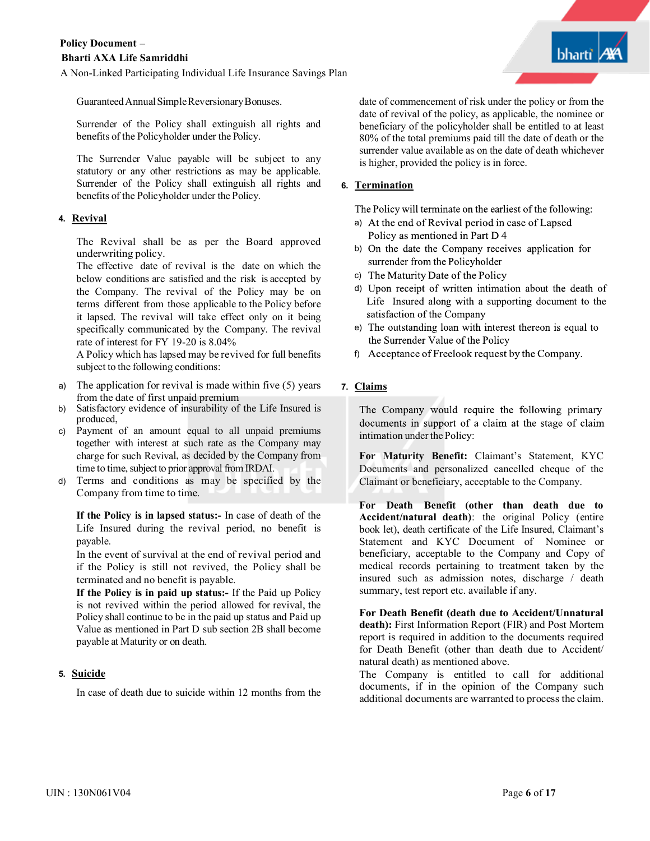GuaranteedAnnualSimpleReversionaryBonuses.

Surrender of the Policy shall extinguish all rights and benefits of the Policyholder under the Policy.

The Surrender Value payable will be subject to any statutory or any other restrictions as may be applicable. Surrender of the Policy shall extinguish all rights and benefits of the Policyholder under the Policy.

## **4. Revival**

The Revival shall be as per the Board approved underwriting policy.

The effective date of revival is the date on which the below conditions are satisfied and the risk is accepted by the Company. The revival of the Policy may be on terms different from those applicable to the Policy before it lapsed. The revival will take effect only on it being specifically communicated by the Company. The revival rate of interest for FY 19-20 is 8.04%

A Policy which has lapsed may be revived for full benefits subject to the following conditions:

- a) The application for revival is made within five (5) years from the date of first unpaid premium
- b) Satisfactory evidence of insurability of the Life Insured is produced,
- c) Payment of an amount equal to all unpaid premiums together with interest at such rate as the Company may charge for such Revival, as decided by the Company from time to time, subject to prior approval from IRDAI.
- d) Terms and conditions as may be specified by the Company from time to time.

**If the Policy is in lapsed status:-** In case of death of the Life Insured during the revival period, no benefit is payable.

In the event of survival at the end of revival period and if the Policy is still not revived, the Policy shall be terminated and no benefit is payable.

**If the Policy is in paid up status:-** If the Paid up Policy is not revived within the period allowed for revival, the Policy shall continue to be in the paid up status and Paid up Value as mentioned in Part D sub section 2B shall become payable at Maturity or on death.

## **5. Suicide**

In case of death due to suicide within 12 months from the

date of commencement of risk under the policy or from the date of revival of the policy, as applicable, the nominee or beneficiary of the policyholder shall be entitled to at least 80% of the total premiums paid till the date of death or the surrender value available as on the date of death whichever is higher, provided the policy is in force.

#### **6. Termination**

The Policy will terminate on the earliest of the following:

- a) At the end of Revival period in case of Lapsed Policy as mentioned in Part D 4
- b) On the date the Company receives application for surrender from the Policyholder
- c) The Maturity Date of the Policy
- d) Upon receipt of written intimation about the death of Life Insured along with a supporting document to the satisfaction of the Company
- e) The outstanding loan with interest thereon is equal to the Surrender Value of the Policy
- f) Acceptance of Freelook request by the Company.

## **7. Claims**

The Company would require the following primary documents in support of a claim at the stage of claim intimation under the Policy:

**For Maturity Benefit:** Claimant's Statement, KYC Documents and personalized cancelled cheque of the Claimant or beneficiary, acceptable to the Company.

**For Death Benefit (other than death due to Accident/natural death)**: the original Policy (entire book let), death certificate of the Life Insured, Claimant's Statement and KYC Document of Nominee or beneficiary, acceptable to the Company and Copy of medical records pertaining to treatment taken by the insured such as admission notes, discharge / death summary, test report etc. available if any.

**For Death Benefit (death due to Accident/Unnatural death):** First Information Report (FIR) and Post Mortem report is required in addition to the documents required for Death Benefit (other than death due to Accident/ natural death) as mentioned above.

The Company is entitled to call for additional documents, if in the opinion of the Company such additional documents are warranted to process the claim.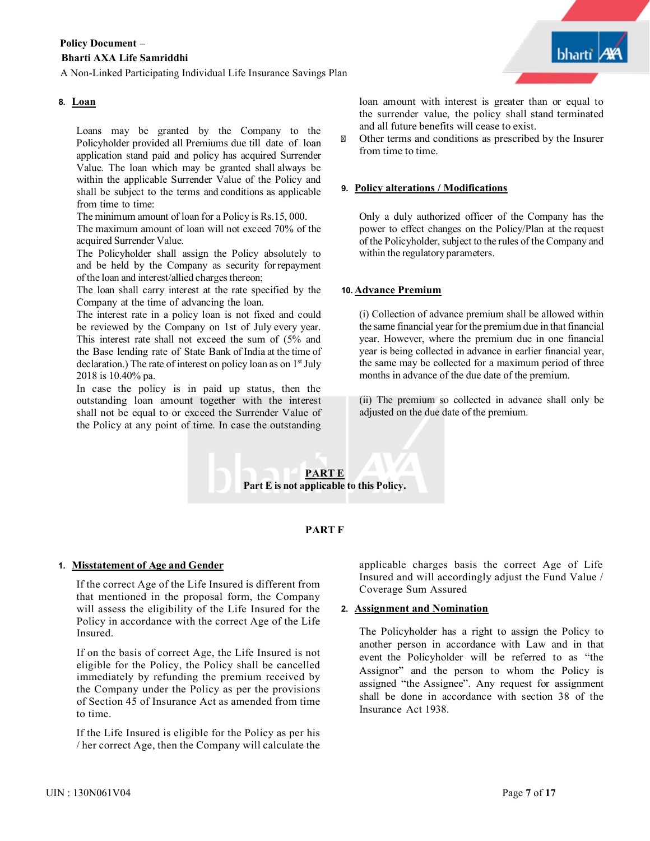## **8. Loan**

Loans may be granted by the Company to the Policyholder provided all Premiums due till date of loan application stand paid and policy has acquired Surrender Value. The loan which may be granted shall always be within the applicable Surrender Value of the Policy and shall be subject to the terms and conditions as applicable from time to time:

The minimum amount of loan for a Policy is Rs.15, 000.

The maximum amount of loan will not exceed 70% of the acquired Surrender Value.

The Policyholder shall assign the Policy absolutely to and be held by the Company as security forrepayment of the loan and interest/allied charges thereon;

The loan shall carry interest at the rate specified by the Company at the time of advancing the loan.

The interest rate in a policy loan is not fixed and could be reviewed by the Company on 1st of July every year. This interest rate shall not exceed the sum of (5% and the Base lending rate of State Bank of India at the time of declaration.) The rate of interest on policy loan as on  $1<sup>st</sup>$  July 2018 is 10.40% pa.

In case the policy is in paid up status, then the outstanding loan amount together with the interest shall not be equal to or exceed the Surrender Value of the Policy at any point of time. In case the outstanding loan amount with interest is greater than or equal to the surrender value, the policy shall stand terminated and all future benefits will cease to exist.

Other terms and conditions as prescribed by the Insurer from time to time.

#### **9. Policy alterations / Modifications**

Only a duly authorized officer of the Company has the power to effect changes on the Policy/Plan at the request of the Policyholder, subject to the rules of the Company and within the regulatory parameters.

#### **10. Advance Premium**

(i) Collection of advance premium shall be allowed within the same financial year for the premium due in that financial year. However, where the premium due in one financial year is being collected in advance in earlier financial year, the same may be collected for a maximum period of three months in advance of the due date of the premium.

(ii) The premium so collected in advance shall only be adjusted on the due date of the premium.



## **PART F**

## **1. Misstatement of Age and Gender**

If the correct Age of the Life Insured is different from that mentioned in the proposal form, the Company will assess the eligibility of the Life Insured for the Policy in accordance with the correct Age of the Life Insured.

If on the basis of correct Age, the Life Insured is not eligible for the Policy, the Policy shall be cancelled immediately by refunding the premium received by the Company under the Policy as per the provisions of Section 45 of Insurance Act as amended from time to time.

If the Life Insured is eligible for the Policy as per his / her correct Age, then the Company will calculate the

applicable charges basis the correct Age of Life Insured and will accordingly adjust the Fund Value / Coverage Sum Assured

## **2. Assignment and Nomination**

The Policyholder has a right to assign the Policy to another person in accordance with Law and in that event the Policyholder will be referred to as "the Assignor" and the person to whom the Policy is assigned "the Assignee". Any request for assignment shall be done in accordance with section 38 of the Insurance Act 1938.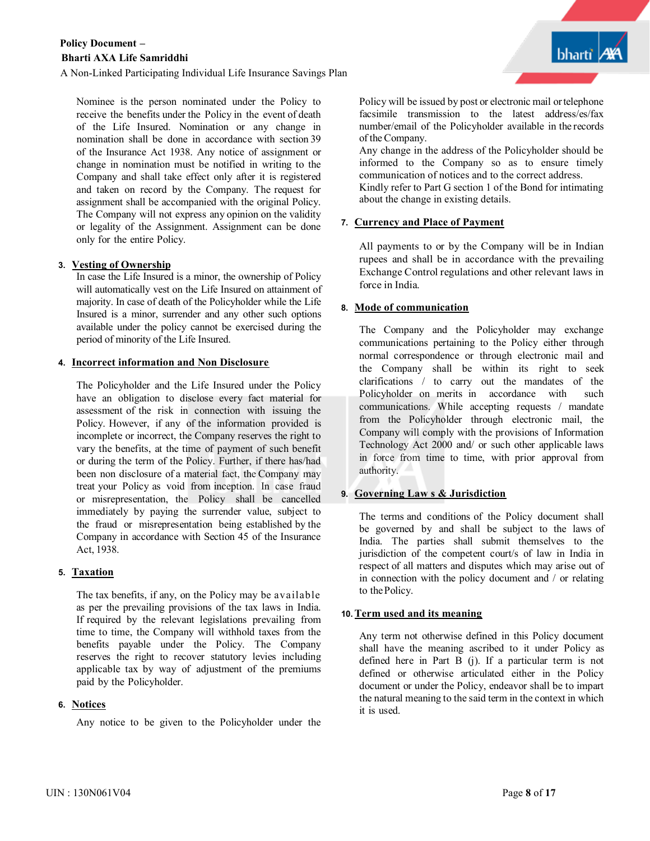A Non-Linked Participating Individual Life Insurance Savings Plan

Nominee is the person nominated under the Policy to receive the benefits under the Policy in the event of death of the Life Insured. Nomination or any change in nomination shall be done in accordance with section 39 of the Insurance Act 1938. Any notice of assignment or change in nomination must be notified in writing to the Company and shall take effect only after it is registered and taken on record by the Company. The request for assignment shall be accompanied with the original Policy. The Company will not express any opinion on the validity or legality of the Assignment. Assignment can be done only for the entire Policy.

## **3. Vesting of Ownership**

In case the Life Insured is a minor, the ownership of Policy will automatically vest on the Life Insured on attainment of majority. In case of death of the Policyholder while the Life Insured is a minor, surrender and any other such options available under the policy cannot be exercised during the period of minority of the Life Insured.

## **4. Incorrect information and Non Disclosure**

The Policyholder and the Life Insured under the Policy have an obligation to disclose every fact material for assessment of the risk in connection with issuing the Policy. However, if any of the information provided is incomplete or incorrect, the Company reserves the right to vary the benefits, at the time of payment of such benefit or during the term of the Policy. Further, if there has/had been non disclosure of a material fact, the Company may treat your Policy as void from inception. In case fraud or misrepresentation, the Policy shall be cancelled immediately by paying the surrender value, subject to the fraud or misrepresentation being established by the Company in accordance with Section 45 of the Insurance Act, 1938.

## **5. Taxation**

The tax benefits, if any, on the Policy may be available as per the prevailing provisions of the tax laws in India. If required by the relevant legislations prevailing from time to time, the Company will withhold taxes from the benefits payable under the Policy. The Company reserves the right to recover statutory levies including applicable tax by way of adjustment of the premiums paid by the Policyholder.

## **6. Notices**

Any notice to be given to the Policyholder under the

Policy will be issued by post or electronic mail ortelephone facsimile transmission to the latest address/es/fax number/email of the Policyholder available in the records of the Company.

bharti

Any change in the address of the Policyholder should be informed to the Company so as to ensure timely communication of notices and to the correct address. Kindly refer to Part G section 1 of the Bond for intimating about the change in existing details.

## **7. Currency and Place of Payment**

All payments to or by the Company will be in Indian rupees and shall be in accordance with the prevailing Exchange Control regulations and other relevant laws in force in India.

## **8. Mode of communication**

The Company and the Policyholder may exchange communications pertaining to the Policy either through normal correspondence or through electronic mail and the Company shall be within its right to seek clarifications / to carry out the mandates of the Policyholder on merits in accordance with such communications. While accepting requests / mandate from the Policyholder through electronic mail, the Company will comply with the provisions of Information Technology Act 2000 and/ or such other applicable laws in force from time to time, with prior approval from authority.

## **9. Governing Law s & Jurisdiction**

The terms and conditions of the Policy document shall be governed by and shall be subject to the laws of India. The parties shall submit themselves to the jurisdiction of the competent court/s of law in India in respect of all matters and disputes which may arise out of in connection with the policy document and / or relating to thePolicy.

## **10.Term used and its meaning**

Any term not otherwise defined in this Policy document shall have the meaning ascribed to it under Policy as defined here in Part B (j). If a particular term is not defined or otherwise articulated either in the Policy document or under the Policy, endeavor shall be to impart the natural meaning to the said term in the context in which it is used.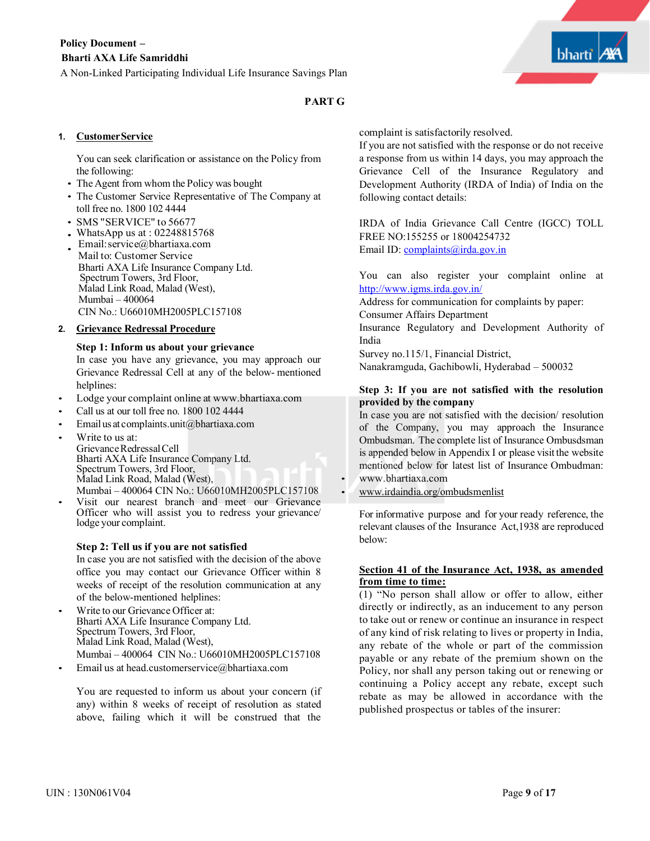## **PART G**

## **1. CustomerService**

You can seek clarification or assistance on the Policy from the following:

- The Agent from whom the Policy was bought
- The Customer Service Representative of The Company at toll free no. 1800 102 4444
- SMS "SERVICE" to 56677
- WhatsApp us at : 02248815768
- Email:service@bhartiaxa.com Mail to: Customer Service Bharti AXA Life Insurance Company Ltd. Spectrum Towers, 3rd Floor, Malad Link Road, Malad (West), Mumbai – 400064 CIN No.: U66010MH2005PLC157108

## **2. Grievance Redressal Procedure**

#### **Step 1: Inform us about your grievance**

In case you have any grievance, you may approach our Grievance Redressal Cell at any of the below- mentioned helplines:

- Lodge your complaint online at www.bhartiaxa.com
- Call us at our toll free no. 1800 102 4444
- Emailus at complaints.unit@bhartiaxa.com
- Write to us at: Grievance Redressal Cell<br>Bharti AXA Life Insurance Company Ltd. Spectrum Towers, 3rd Floor,<br>Malad Link Road, Malad (West), Mumbai – 400064 CIN No.: U66010MH2005PLC157108
- Visit our nearest branch and meet our Grievance Officer who will assist you to redress your grievance/ lodge your complaint.

## **Step 2: Tell us if you are not satisfied**

In case you are not satisfied with the decision of the above office you may contact our Grievance Officer within 8 weeks of receipt of the resolution communication at any of the below-mentioned helplines:

- Write to our Grievance Officer at: Bharti AXA Life Insurance Company Ltd. Spectrum Towers, 3rd Floor, Malad Link Road, Malad (West), Mumbai – 400064 CIN No.: U66010MH2005PLC157108
- Email us at head.customerservice@bhartiaxa.com

You are requested to inform us about your concern (if any) within 8 weeks of receipt of resolution as stated above, failing which it will be construed that the

complaint is satisfactorily resolved.

If you are not satisfied with the response or do not receive a response from us within 14 days, you may approach the Grievance Cell of the Insurance Regulatory and Development Authority (IRDA of India) of India on the following contact details:

IRDA of India Grievance Call Centre (IGCC) TOLL FREE NO:155255 or 18004254732 Email ID: complaints@irda.gov.in

You can also register your complaint online at http://www.igms.irda.gov.in/

Address for communication for complaints by paper: Consumer Affairs Department

Insurance Regulatory and Development Authority of India

Survey no.115/1, Financial District, Nanakramguda, Gachibowli, Hyderabad – 500032

#### **Step 3: If you are not satisfied with the resolution provided by the company**

In case you are not satisfied with the decision/ resolution of the Company, you may approach the Insurance Ombudsman. The complete list of Insurance Ombusdsman is appended below in Appendix I or please visit the website mentioned below for latest list of Insurance Ombudman: • www.bhartiaxa.com

• www.irdaindia.org/ombudsmenlist

For informative purpose and for your ready reference, the relevant clauses of the Insurance Act,1938 are reproduced below:

#### **Section 41 of the Insurance Act, 1938, as amended from time to time:**

(1) "No person shall allow or offer to allow, either directly or indirectly, as an inducement to any person to take out or renew or continue an insurance in respect of any kind of risk relating to lives or property in India, any rebate of the whole or part of the commission payable or any rebate of the premium shown on the Policy, nor shall any person taking out or renewing or continuing a Policy accept any rebate, except such rebate as may be allowed in accordance with the published prospectus or tables of the insurer: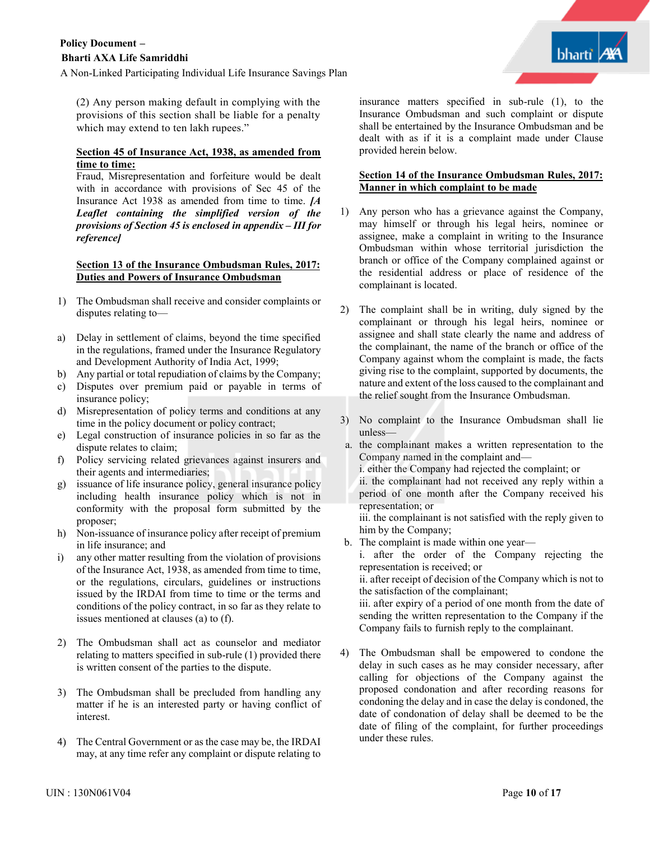

(2) Any person making default in complying with the provisions of this section shall be liable for a penalty which may extend to ten lakh rupees."

## **Section 45 of Insurance Act, 1938, as amended from time to time:**

Fraud, Misrepresentation and forfeiture would be dealt with in accordance with provisions of Sec 45 of the Insurance Act 1938 as amended from time to time. *[A Leaflet containing the simplified version of the provisions of Section 45 is enclosed in appendix – III for reference]*

#### **Section 13 of the Insurance Ombudsman Rules, 2017: Duties and Powers of Insurance Ombudsman**

- 1) The Ombudsman shall receive and consider complaints or disputes relating to—
- a) Delay in settlement of claims, beyond the time specified in the regulations, framed under the Insurance Regulatory and Development Authority of India Act, 1999;
- b) Any partial or total repudiation of claims by the Company;
- c) Disputes over premium paid or payable in terms of insurance policy;
- d) Misrepresentation of policy terms and conditions at any time in the policy document or policy contract;
- e) Legal construction of insurance policies in so far as the dispute relates to claim;
- f) Policy servicing related grievances against insurers and their agents and intermediaries;
- g) issuance of life insurance policy, general insurance policy including health insurance policy which is not in conformity with the proposal form submitted by the proposer;
- h) Non-issuance of insurance policy after receipt of premium in life insurance; and
- i) any other matter resulting from the violation of provisions of the Insurance Act, 1938, as amended from time to time, or the regulations, circulars, guidelines or instructions issued by the IRDAI from time to time or the terms and conditions of the policy contract, in so far as they relate to issues mentioned at clauses (a) to (f).
- 2) The Ombudsman shall act as counselor and mediator relating to matters specified in sub-rule (1) provided there is written consent of the parties to the dispute.
- 3) The Ombudsman shall be precluded from handling any matter if he is an interested party or having conflict of interest.
- The Central Government or as the case may be, the IRDAI may, at any time refer any complaint or dispute relating to

insurance matters specified in sub-rule (1), to the Insurance Ombudsman and such complaint or dispute shall be entertained by the Insurance Ombudsman and be dealt with as if it is a complaint made under Clause provided herein below.

## **Section 14 of the Insurance Ombudsman Rules, 2017: Manner in which complaint to be made**

- 1) Any person who has a grievance against the Company, may himself or through his legal heirs, nominee or assignee, make a complaint in writing to the Insurance Ombudsman within whose territorial jurisdiction the branch or office of the Company complained against or the residential address or place of residence of the complainant is located.
- 2) The complaint shall be in writing, duly signed by the complainant or through his legal heirs, nominee or assignee and shall state clearly the name and address of the complainant, the name of the branch or office of the Company against whom the complaint is made, the facts giving rise to the complaint, supported by documents, the nature and extent of the loss caused to the complainant and the relief sought from the Insurance Ombudsman.
- 3) No complaint to the Insurance Ombudsman shall lie unless—
- a. the complainant makes a written representation to the Company named in the complaint and
	- i. either the Company had rejected the complaint; or
	- ii. the complainant had not received any reply within a period of one month after the Company received his representation; or

iii. the complainant is not satisfied with the reply given to him by the Company;

b. The complaint is made within one year—

i. after the order of the Company rejecting the representation is received; or

ii. after receipt of decision of the Company which is not to the satisfaction of the complainant;

iii. after expiry of a period of one month from the date of sending the written representation to the Company if the Company fails to furnish reply to the complainant.

4) The Ombudsman shall be empowered to condone the delay in such cases as he may consider necessary, after calling for objections of the Company against the proposed condonation and after recording reasons for condoning the delay and in case the delay is condoned, the date of condonation of delay shall be deemed to be the date of filing of the complaint, for further proceedings under these rules.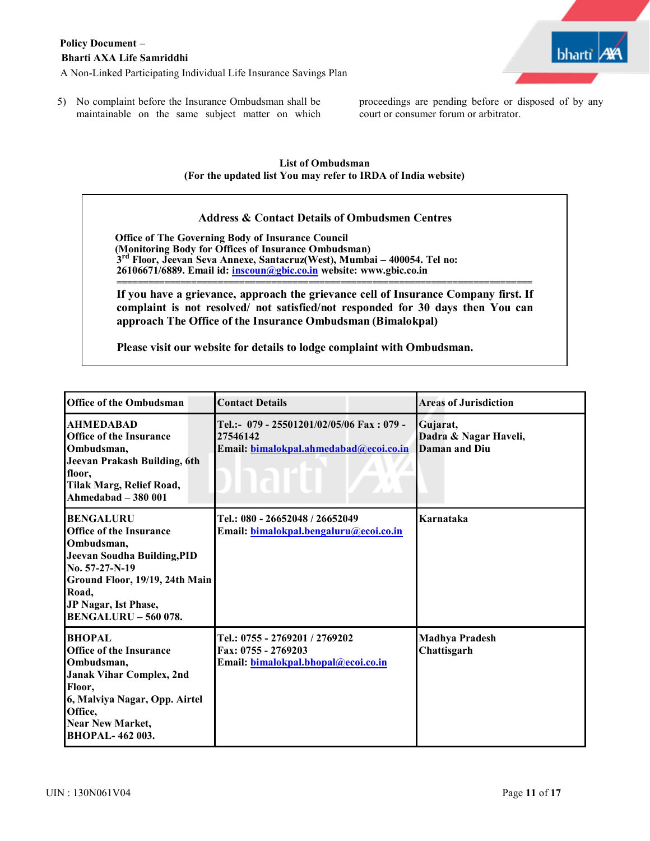

5) No complaint before the Insurance Ombudsman shall be maintainable on the same subject matter on which proceedings are pending before or disposed of by any court or consumer forum or arbitrator.

## **List of Ombudsman (For the updated list You may refer to IRDA of India website)**

## **Address & Contact Details of Ombudsmen Centres**

**Office of The Governing Body of Insurance Council (Monitoring Body for Offices of Insurance Ombudsman) 3rd Floor, Jeevan Seva Annexe, Santacruz(West), Mumbai – 400054. Tel no: 26106671/6889. Email id: inscoun@gbic.co.in website: www.gbic.co.in**

**============================================================================== If you have a grievance, approach the grievance cell of Insurance Company first. If complaint is not resolved/ not satisfied/not responded for 30 days then You can approach The Office of the Insurance Ombudsman (Bimalokpal)**

**Please visit our website for details to lodge complaint with Ombudsman.**

| <b>Office of the Ombudsman</b>                                                                                                                                                                                             | <b>Contact Details</b>                                                                          | <b>Areas of Jurisdiction</b>                       |
|----------------------------------------------------------------------------------------------------------------------------------------------------------------------------------------------------------------------------|-------------------------------------------------------------------------------------------------|----------------------------------------------------|
| <b>AHMEDABAD</b><br><b>Office of the Insurance</b><br>Ombudsman,<br>Jeevan Prakash Building, 6th<br>floor,<br>Tilak Marg, Relief Road,<br>Ahmedabad - 380 001                                                              | Tel.:- 079 - 25501201/02/05/06 Fax: 079 -<br>27546142<br>Email: bimalokpal.ahmedabad@ecoi.co.in | Gujarat,<br>Dadra & Nagar Haveli,<br>Daman and Diu |
| <b>BENGALURU</b><br><b>Office of the Insurance</b><br>Ombudsman,<br><b>Jeevan Soudha Building, PID</b><br>No. 57-27-N-19<br>Ground Floor, 19/19, 24th Main<br>Road,<br>JP Nagar, Ist Phase,<br><b>BENGALURU - 560 078.</b> | Tel.: 080 - 26652048 / 26652049<br>Email: bimalokpal.bengaluru@ecoi.co.in                       | Karnataka                                          |
| <b>BHOPAL</b><br><b>Office of the Insurance</b><br>Ombudsman,<br><b>Janak Vihar Complex, 2nd</b><br>Floor,<br>6, Malviya Nagar, Opp. Airtel<br>Office,<br>Near New Market,<br><b>BHOPAL-462003.</b>                        | Tel.: 0755 - 2769201 / 2769202<br>Fax: 0755 - 2769203<br>Email: bimalokpal.bhopal@ecoi.co.in    | <b>Madhya Pradesh</b><br>Chattisgarh               |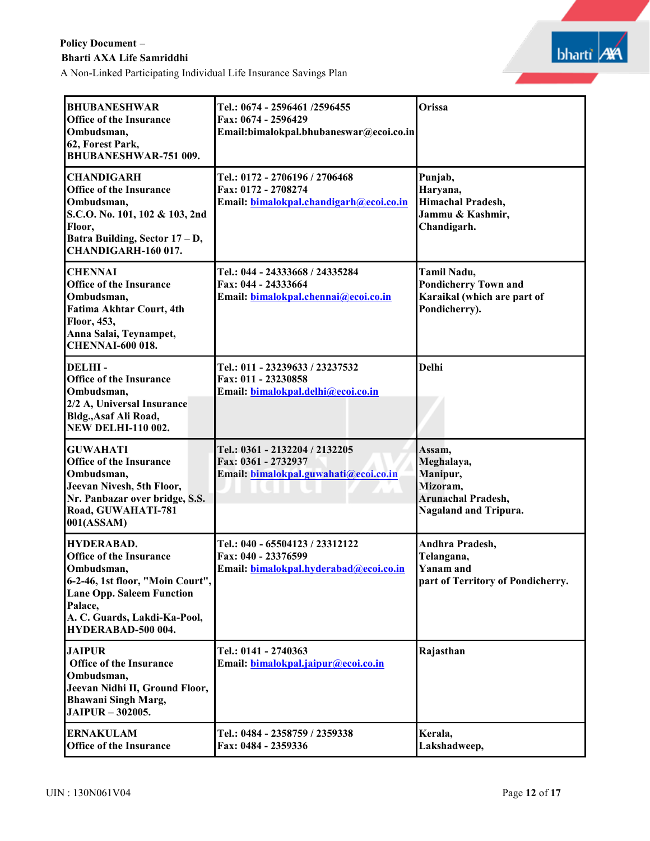A Non-Linked Participating Individual Life Insurance Savings Plan



| <b>BHUBANESHWAR</b><br>Office of the Insurance<br>Ombudsman,<br>62, Forest Park,<br><b>BHUBANESHWAR-751 009.</b>                                                                                           | Tel.: 0674 - 2596461 /2596455<br>Fax: 0674 - 2596429<br>Email:bimalokpal.bhubaneswar@ecoi.co.in  | Orissa                                                                                                    |
|------------------------------------------------------------------------------------------------------------------------------------------------------------------------------------------------------------|--------------------------------------------------------------------------------------------------|-----------------------------------------------------------------------------------------------------------|
| <b>CHANDIGARH</b><br><b>Office of the Insurance</b><br>Ombudsman,<br>S.C.O. No. 101, 102 & 103, 2nd<br>Floor,<br>Batra Building, Sector 17 - D,<br>CHANDIGARH-160 017.                                     | Tel.: 0172 - 2706196 / 2706468<br>Fax: 0172 - 2708274<br>Email: bimalokpal.chandigarh@ecoi.co.in | Punjab,<br>Haryana,<br>Himachal Pradesh,<br>Jammu & Kashmir,<br>Chandigarh.                               |
| <b>CHENNAI</b><br><b>Office of the Insurance</b><br>Ombudsman,<br><b>Fatima Akhtar Court, 4th</b><br>Floor, 453,<br>Anna Salai, Teynampet,<br><b>CHENNAI-600 018.</b>                                      | Tel.: 044 - 24333668 / 24335284<br>Fax: 044 - 24333664<br>Email: bimalokpal.chennai@ecoi.co.in   | Tamil Nadu,<br><b>Pondicherry Town and</b><br>Karaikal (which are part of<br>Pondicherry).                |
| <b>DELHI-</b><br>Office of the Insurance<br>Ombudsman,<br>2/2 A, Universal Insurance<br>Bldg., Asaf Ali Road,<br><b>NEW DELHI-110 002.</b>                                                                 | Tel.: 011 - 23239633 / 23237532<br>Fax: 011 - 23230858<br>Email: bimalokpal.delhi@ecoi.co.in     | <b>Delhi</b>                                                                                              |
| <b>GUWAHATI</b><br><b>Office of the Insurance</b><br>Ombudsman,<br>Jeevan Nivesh, 5th Floor,<br>Nr. Panbazar over bridge, S.S.<br>Road, GUWAHATI-781<br>001(ASSAM)                                         | Tel.: 0361 - 2132204 / 2132205<br>Fax: 0361 - 2732937<br>Email: bimalokpal.guwahati@ecoi.co.in   | Assam.<br>Meghalaya,<br>Manipur,<br>Mizoram,<br><b>Arunachal Pradesh,</b><br><b>Nagaland and Tripura.</b> |
| <b>HYDERABAD.</b><br><b>Office of the Insurance</b><br>Ombudsman,<br>6-2-46, 1st floor, "Moin Court",<br><b>Lane Opp. Saleem Function</b><br>Palace,<br>A. C. Guards, Lakdi-Ka-Pool,<br>HYDERABAD-500 004. | Tel.: 040 - 65504123 / 23312122<br>Fax: 040 - 23376599<br>Email: bimalokpal.hyderabad@ecoi.co.in | Andhra Pradesh,<br>Telangana,<br><b>Yanam</b> and<br>part of Territory of Pondicherry.                    |
| <b>JAIPUR</b><br><b>Office of the Insurance</b><br>Ombudsman,<br>Jeevan Nidhi II, Ground Floor,<br><b>Bhawani Singh Marg,</b><br>JAIPUR - 302005.                                                          | Tel.: 0141 - 2740363<br>Email: bimalokpal.jaipur@ecoi.co.in                                      | Rajasthan                                                                                                 |
| <b>ERNAKULAM</b><br><b>Office of the Insurance</b>                                                                                                                                                         | Tel.: 0484 - 2358759 / 2359338<br>Fax: 0484 - 2359336                                            | Kerala,<br>Lakshadweep,                                                                                   |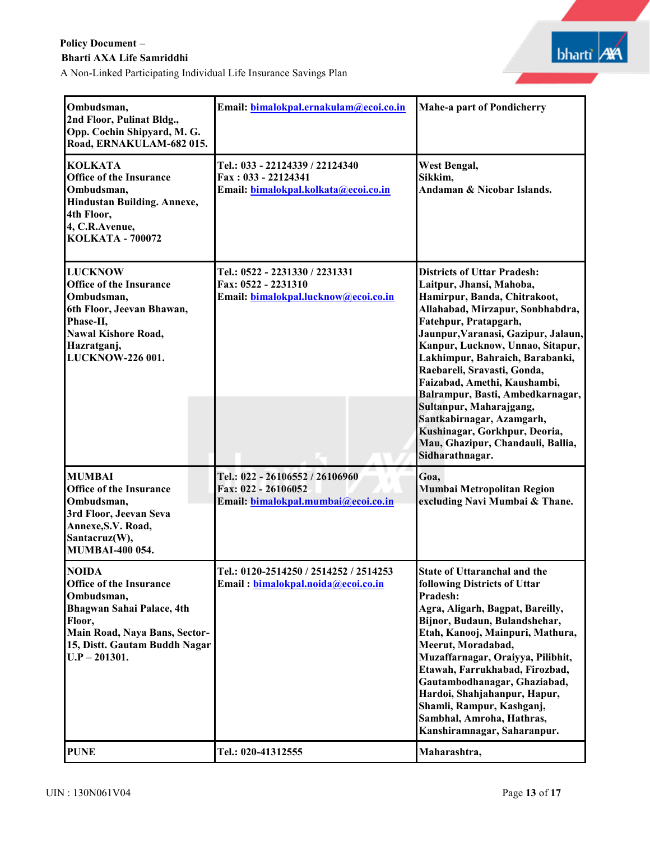A Non-Linked Participating Individual Life Insurance Savings Plan



| Ombudsman,<br>2nd Floor, Pulinat Bldg.,<br>Opp. Cochin Shipyard, M. G.<br>Road, ERNAKULAM-682 015.                                                                                       | Email: bimalokpal.ernakulam@ecoi.co.in                                                         | <b>Mahe-a part of Pondicherry</b>                                                                                                                                                                                                                                                                                                                                                                                                                                                                                             |
|------------------------------------------------------------------------------------------------------------------------------------------------------------------------------------------|------------------------------------------------------------------------------------------------|-------------------------------------------------------------------------------------------------------------------------------------------------------------------------------------------------------------------------------------------------------------------------------------------------------------------------------------------------------------------------------------------------------------------------------------------------------------------------------------------------------------------------------|
| <b>KOLKATA</b><br><b>Office of the Insurance</b><br>Ombudsman,<br>Hindustan Building. Annexe,<br>4th Floor,<br>4, C.R.Avenue,<br><b>KOLKATA - 700072</b>                                 | Tel.: 033 - 22124339 / 22124340<br>Fax: 033 - 22124341<br>Email: bimalokpal.kolkata@ecoi.co.in | West Bengal,<br>Sikkim,<br>Andaman & Nicobar Islands.                                                                                                                                                                                                                                                                                                                                                                                                                                                                         |
| <b>LUCKNOW</b><br><b>Office of the Insurance</b><br>Ombudsman,<br>6th Floor, Jeevan Bhawan,<br>Phase-II,<br><b>Nawal Kishore Road,</b><br>Hazratganj,<br>LUCKNOW-226 001.                | Tel.: 0522 - 2231330 / 2231331<br>Fax: 0522 - 2231310<br>Email: bimalokpal.lucknow@ecoi.co.in  | <b>Districts of Uttar Pradesh:</b><br>Laitpur, Jhansi, Mahoba,<br>Hamirpur, Banda, Chitrakoot,<br>Allahabad, Mirzapur, Sonbhabdra,<br>Fatehpur, Pratapgarh,<br>Jaunpur, Varanasi, Gazipur, Jalaun,<br>Kanpur, Lucknow, Unnao, Sitapur,<br>Lakhimpur, Bahraich, Barabanki,<br>Raebareli, Sravasti, Gonda,<br>Faizabad, Amethi, Kaushambi,<br>Balrampur, Basti, Ambedkarnagar,<br>Sultanpur, Maharajgang,<br>Santkabirnagar, Azamgarh,<br>Kushinagar, Gorkhpur, Deoria,<br>Mau, Ghazipur, Chandauli, Ballia,<br>Sidharathnagar. |
| <b>MUMBAI</b><br><b>Office of the Insurance</b><br>Ombudsman,<br>3rd Floor, Jeevan Seva<br>Annexe, S.V. Road,<br>Santacruz(W),<br><b>MUMBAI-400 054.</b>                                 | Tel.: 022 - 26106552 / 26106960<br>Fax: 022 - 26106052<br>Email: bimalokpal.mumbai@ecoi.co.in  | Goa,<br>Mumbai Metropolitan Region<br>excluding Navi Mumbai & Thane.                                                                                                                                                                                                                                                                                                                                                                                                                                                          |
| <b>NOIDA</b><br><b>Office of the Insurance</b><br>Ombudsman,<br>Bhagwan Sahai Palace, 4th<br>Floor,<br>Main Road, Naya Bans, Sector-<br>15, Distt. Gautam Buddh Nagar<br>$U.P - 201301.$ | Tel.: 0120-2514250 / 2514252 / 2514253<br>Email: bimalokpal.noida@ecoi.co.in                   | <b>State of Uttaranchal and the</b><br>following Districts of Uttar<br>Pradesh:<br>Agra, Aligarh, Bagpat, Bareilly,<br>Bijnor, Budaun, Bulandshehar,<br>Etah, Kanooj, Mainpuri, Mathura,<br>Meerut, Moradabad,<br>Muzaffarnagar, Oraiyya, Pilibhit,<br>Etawah, Farrukhabad, Firozbad,<br>Gautambodhanagar, Ghaziabad,<br>Hardoi, Shahjahanpur, Hapur,<br>Shamli, Rampur, Kashganj,<br>Sambhal, Amroha, Hathras,<br>Kanshiramnagar, Saharanpur.                                                                                |
| <b>PUNE</b>                                                                                                                                                                              | Tel.: 020-41312555                                                                             | Maharashtra,                                                                                                                                                                                                                                                                                                                                                                                                                                                                                                                  |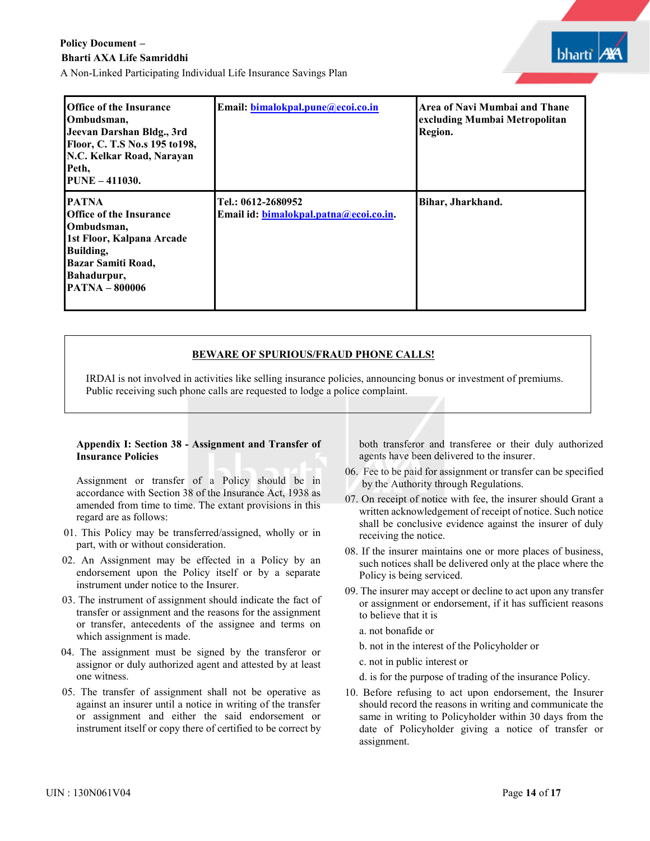| bhart |  |
|-------|--|
|       |  |

| <b>Office of the Insurance</b><br>Ombudsman,<br>Jeevan Darshan Bldg., 3rd<br>Floor, C. T.S No.s 195 to 198,<br>N.C. Kelkar Road, Narayan<br>Peth,<br><b>PUNE - 411030.</b>  | Email: bimalokpal.pune@ecoi.co.in                            | Area of Navi Mumbai and Thane<br>excluding Mumbai Metropolitan<br>Region. |
|-----------------------------------------------------------------------------------------------------------------------------------------------------------------------------|--------------------------------------------------------------|---------------------------------------------------------------------------|
| <b>PATNA</b><br><b>Office of the Insurance</b><br>Ombudsman,<br>1st Floor, Kalpana Arcade<br>Building,<br><b>Bazar Samiti Road,</b><br>Bahadurpur,<br><b>PATNA - 800006</b> | Tel.: 0612-2680952<br>Email id: bimalokpal.patna@ecoi.co.in. | Bihar, Jharkhand.                                                         |

## **BEWARE OF SPURIOUS/FRAUD PHONE CALLS!**

IRDAI is not involved in activities like selling insurance policies, announcing bonus or investment of premiums. Public receiving such phone calls are requested to lodge a police complaint.

#### **Appendix I: Section 38 - Assignment and Transfer of Insurance Policies**

Assignment or transfer of a Policy should be in accordance with Section 38 of the Insurance Act, 1938 as amended from time to time. The extant provisions in this regard are as follows:

- 01. This Policy may be transferred/assigned, wholly or in part, with or without consideration.
- 02. An Assignment may be effected in a Policy by an endorsement upon the Policy itself or by a separate instrument under notice to the Insurer.
- 03. The instrument of assignment should indicate the fact of transfer or assignment and the reasons for the assignment or transfer, antecedents of the assignee and terms on which assignment is made.
- 04. The assignment must be signed by the transferor or assignor or duly authorized agent and attested by at least one witness.
- 05. The transfer of assignment shall not be operative as against an insurer until a notice in writing of the transfer or assignment and either the said endorsement or instrument itself or copy there of certified to be correct by

both transferor and transferee or their duly authorized agents have been delivered to the insurer.

- 06. Fee to be paid for assignment or transfer can be specified by the Authority through Regulations.
- 07. On receipt of notice with fee, the insurer should Grant a written acknowledgement of receipt of notice. Such notice shall be conclusive evidence against the insurer of duly receiving the notice.
- 08. If the insurer maintains one or more places of business, such notices shall be delivered only at the place where the Policy is being serviced.
- 09. The insurer may accept or decline to act upon any transfer or assignment or endorsement, if it has sufficient reasons to believe that it is
	- a. not bonafide or
	- b. not in the interest of the Policyholder or
	- c. not in public interest or
	- d. is for the purpose of trading of the insurance Policy.
- 10. Before refusing to act upon endorsement, the Insurer should record the reasons in writing and communicate the same in writing to Policyholder within 30 days from the date of Policyholder giving a notice of transfer or assignment.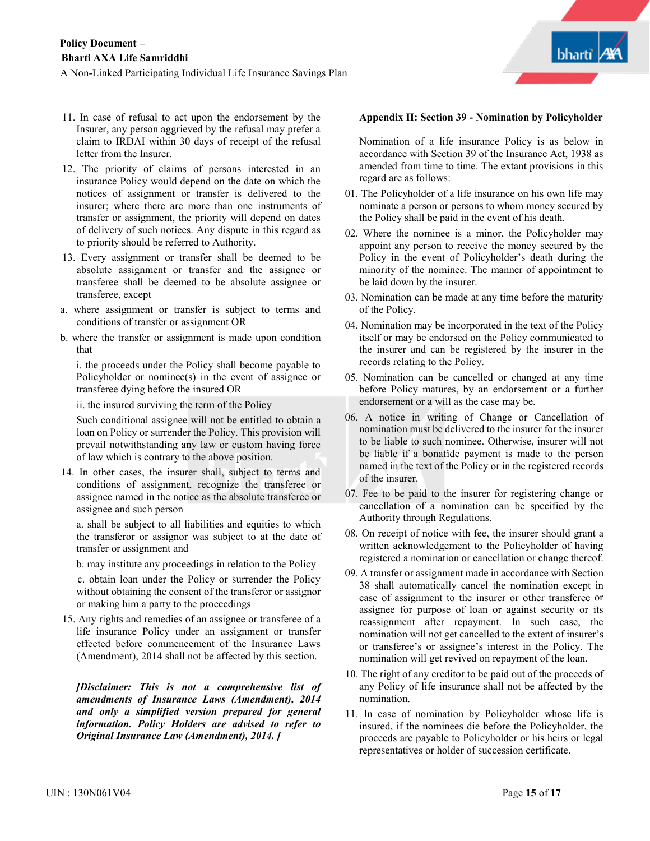- 11. In case of refusal to act upon the endorsement by the Insurer, any person aggrieved by the refusal may prefer a claim to IRDAI within 30 days of receipt of the refusal letter from the Insurer.
- 12. The priority of claims of persons interested in an insurance Policy would depend on the date on which the notices of assignment or transfer is delivered to the insurer; where there are more than one instruments of transfer or assignment, the priority will depend on dates of delivery of such notices. Any dispute in this regard as to priority should be referred to Authority.
- 13. Every assignment or transfer shall be deemed to be absolute assignment or transfer and the assignee or transferee shall be deemed to be absolute assignee or transferee, except
- a. where assignment or transfer is subject to terms and conditions of transfer or assignment OR
- b. where the transfer or assignment is made upon condition that

i. the proceeds under the Policy shall become payable to Policyholder or nominee(s) in the event of assignee or transferee dying before the insured OR

ii. the insured surviving the term of the Policy

Such conditional assignee will not be entitled to obtain a loan on Policy or surrender the Policy. This provision will prevail notwithstanding any law or custom having force of law which is contrary to the above position.

 14. In other cases, the insurer shall, subject to terms and conditions of assignment, recognize the transferee or assignee named in the notice as the absolute transferee or assignee and such person

 a. shall be subject to all liabilities and equities to which the transferor or assignor was subject to at the date of transfer or assignment and

b. may institute any proceedings in relation to the Policy

 c. obtain loan under the Policy or surrender the Policy without obtaining the consent of the transferor or assignor or making him a party to the proceedings

15. Any rights and remedies of an assignee or transferee of a life insurance Policy under an assignment or transfer effected before commencement of the Insurance Laws (Amendment), 2014 shall not be affected by this section.

*[Disclaimer: This is not a comprehensive list of amendments of Insurance Laws (Amendment), 2014 and only a simplified version prepared for general information. Policy Holders are advised to refer to Original Insurance Law (Amendment), 2014. ]*

#### **Appendix II: Section 39 - Nomination by Policyholder**

Nomination of a life insurance Policy is as below in accordance with Section 39 of the Insurance Act, 1938 as amended from time to time. The extant provisions in this regard are as follows:

- 01. The Policyholder of a life insurance on his own life may nominate a person or persons to whom money secured by the Policy shall be paid in the event of his death.
- 02. Where the nominee is a minor, the Policyholder may appoint any person to receive the money secured by the Policy in the event of Policyholder's death during the minority of the nominee. The manner of appointment to be laid down by the insurer.
- 03. Nomination can be made at any time before the maturity of the Policy.
- 04. Nomination may be incorporated in the text of the Policy itself or may be endorsed on the Policy communicated to the insurer and can be registered by the insurer in the records relating to the Policy.
- 05. Nomination can be cancelled or changed at any time before Policy matures, by an endorsement or a further endorsement or a will as the case may be.
- 06. A notice in writing of Change or Cancellation of nomination must be delivered to the insurer for the insurer to be liable to such nominee. Otherwise, insurer will not be liable if a bonafide payment is made to the person named in the text of the Policy or in the registered records of the insurer.
- 07. Fee to be paid to the insurer for registering change or cancellation of a nomination can be specified by the Authority through Regulations.
- 08. On receipt of notice with fee, the insurer should grant a written acknowledgement to the Policyholder of having registered a nomination or cancellation or change thereof.
- 09. A transfer or assignment made in accordance with Section 38 shall automatically cancel the nomination except in case of assignment to the insurer or other transferee or assignee for purpose of loan or against security or its reassignment after repayment. In such case, the nomination will not get cancelled to the extent of insurer's or transferee's or assignee's interest in the Policy. The nomination will get revived on repayment of the loan.
- 10. The right of any creditor to be paid out of the proceeds of any Policy of life insurance shall not be affected by the nomination.
- 11. In case of nomination by Policyholder whose life is insured, if the nominees die before the Policyholder, the proceeds are payable to Policyholder or his heirs or legal representatives or holder of succession certificate.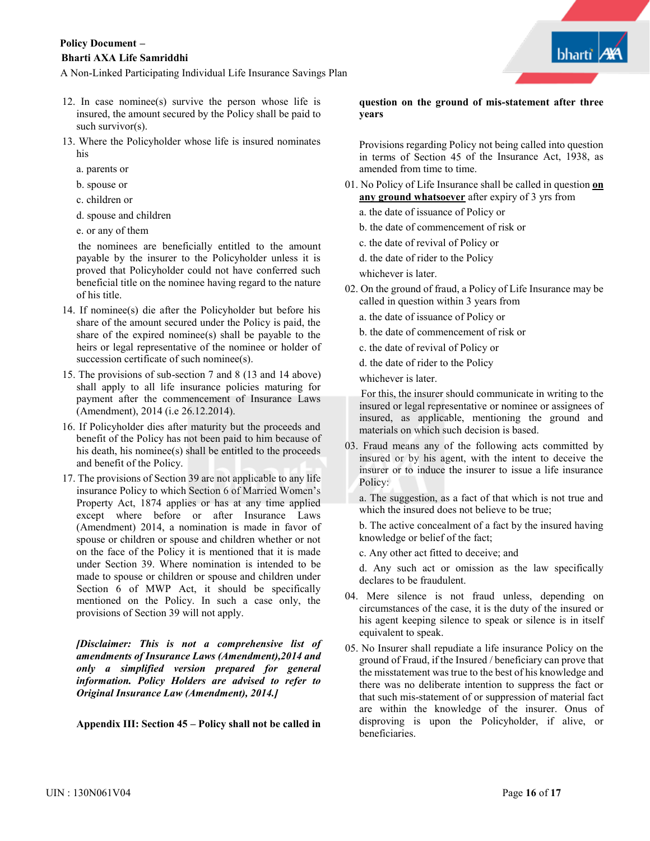A Non-Linked Participating Individual Life Insurance Savings Plan

- 12. In case nominee(s) survive the person whose life is insured, the amount secured by the Policy shall be paid to such survivor(s).
- 13. Where the Policyholder whose life is insured nominates his
	- a. parents or
	- b. spouse or
	- c. children or
	- d. spouse and children
	- e. or any of them

the nominees are beneficially entitled to the amount payable by the insurer to the Policyholder unless it is proved that Policyholder could not have conferred such beneficial title on the nominee having regard to the nature of his title.

- 14. If nominee(s) die after the Policyholder but before his share of the amount secured under the Policy is paid, the share of the expired nominee(s) shall be payable to the heirs or legal representative of the nominee or holder of succession certificate of such nominee(s).
- 15. The provisions of sub-section 7 and 8 (13 and 14 above) shall apply to all life insurance policies maturing for payment after the commencement of Insurance Laws (Amendment), 2014 (i.e 26.12.2014).
- 16. If Policyholder dies after maturity but the proceeds and benefit of the Policy has not been paid to him because of his death, his nominee(s) shall be entitled to the proceeds and benefit of the Policy.
- 17. The provisions of Section 39 are not applicable to any life insurance Policy to which Section 6 of Married Women's Property Act, 1874 applies or has at any time applied except where before or after Insurance Laws (Amendment) 2014, a nomination is made in favor of spouse or children or spouse and children whether or not on the face of the Policy it is mentioned that it is made under Section 39. Where nomination is intended to be made to spouse or children or spouse and children under Section  $\overline{6}$  of MWP Act, it should be specifically mentioned on the Policy. In such a case only, the provisions of Section 39 will not apply.

*[Disclaimer: This is not a comprehensive list of amendments of Insurance Laws (Amendment),2014 and only a simplified version prepared for general information. Policy Holders are advised to refer to Original Insurance Law (Amendment), 2014.]*

**Appendix III: Section 45 – Policy shall not be called in**

**question on the ground of mis-statement after three years** 

Provisions regarding Policy not being called into question in terms of Section 45 of the Insurance Act, 1938, as amended from time to time.

- 01. No Policy of Life Insurance shall be called in question **on any ground whatsoever** after expiry of 3 yrs from
	- a. the date of issuance of Policy or
	- b. the date of commencement of risk or
	- c. the date of revival of Policy or
	- d. the date of rider to the Policy
	- whichever is later.
- 02. On the ground of fraud, a Policy of Life Insurance may be called in question within 3 years from
	- a. the date of issuance of Policy or
	- b. the date of commencement of risk or
	- c. the date of revival of Policy or
	- d. the date of rider to the Policy

whichever is later.

For this, the insurer should communicate in writing to the insured or legal representative or nominee or assignees of insured, as applicable, mentioning the ground and materials on which such decision is based.

03. Fraud means any of the following acts committed by insured or by his agent, with the intent to deceive the insurer or to induce the insurer to issue a life insurance Policy:

a. The suggestion, as a fact of that which is not true and which the insured does not believe to be true;

b. The active concealment of a fact by the insured having knowledge or belief of the fact;

c. Any other act fitted to deceive; and

d. Any such act or omission as the law specifically declares to be fraudulent.

- 04. Mere silence is not fraud unless, depending on circumstances of the case, it is the duty of the insured or his agent keeping silence to speak or silence is in itself equivalent to speak.
- 05. No Insurer shall repudiate a life insurance Policy on the ground of Fraud, if the Insured / beneficiary can prove that the misstatement was true to the best of his knowledge and there was no deliberate intention to suppress the fact or that such mis-statement of or suppression of material fact are within the knowledge of the insurer. Onus of disproving is upon the Policyholder, if alive, or beneficiaries.